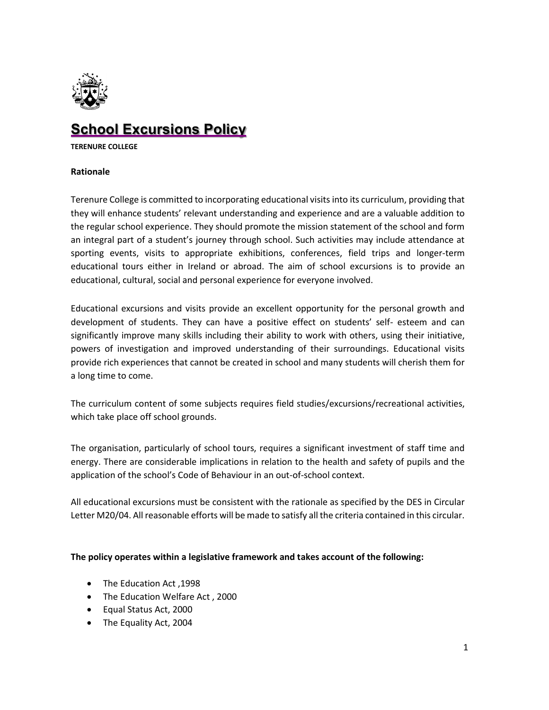

## **School Excursions Policy**

**TERENURE COLLEGE**

#### **Rationale**

Terenure College is committed to incorporating educational visits into its curriculum, providing that they will enhance students' relevant understanding and experience and are a valuable addition to the regular school experience. They should promote the mission statement of the school and form an integral part of a student's journey through school. Such activities may include attendance at sporting events, visits to appropriate exhibitions, conferences, field trips and longer‐term educational tours either in Ireland or abroad. The aim of school excursions is to provide an educational, cultural, social and personal experience for everyone involved.

Educational excursions and visits provide an excellent opportunity for the personal growth and development of students. They can have a positive effect on students' self- esteem and can significantly improve many skills including their ability to work with others, using their initiative, powers of investigation and improved understanding of their surroundings. Educational visits provide rich experiences that cannot be created in school and many students will cherish them for a long time to come.

The curriculum content of some subjects requires field studies/excursions/recreational activities, which take place off school grounds.

The organisation, particularly of school tours, requires a significant investment of staff time and energy. There are considerable implications in relation to the health and safety of pupils and the application of the school's Code of Behaviour in an out-of‐school context.

All educational excursions must be consistent with the rationale as specified by the DES in Circular Letter M20/04. All reasonable efforts will be made to satisfy all the criteria contained in this circular.

#### **The policy operates within a legislative framework and takes account of the following:**

- The Education Act ,1998
- The Education Welfare Act , 2000
- Equal Status Act, 2000
- The Equality Act, 2004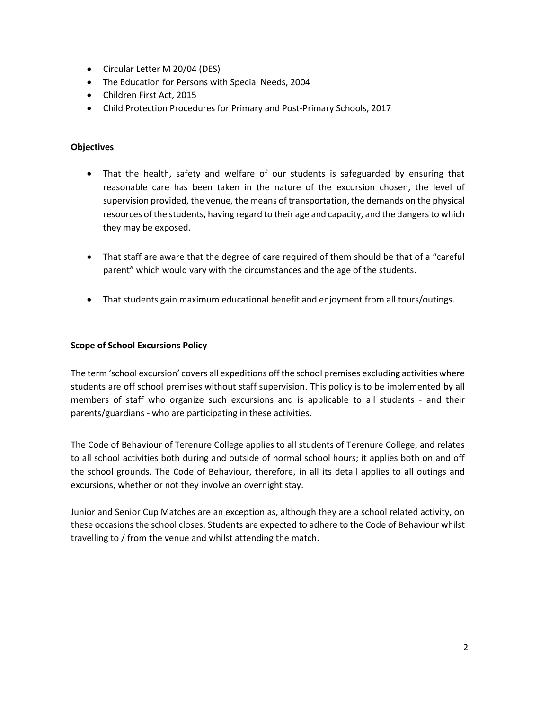- Circular Letter M 20/04 (DES)
- The Education for Persons with Special Needs, 2004
- Children First Act, 2015
- Child Protection Procedures for Primary and Post-Primary Schools, 2017

#### **Objectives**

- That the health, safety and welfare of our students is safeguarded by ensuring that reasonable care has been taken in the nature of the excursion chosen, the level of supervision provided, the venue, the means of transportation, the demands on the physical resources of the students, having regard to their age and capacity, and the dangers to which they may be exposed.
- That staff are aware that the degree of care required of them should be that of a "careful parent" which would vary with the circumstances and the age of the students.
- That students gain maximum educational benefit and enjoyment from all tours/outings.

#### **Scope of School Excursions Policy**

The term 'school excursion' covers all expeditions off the school premises excluding activities where students are off school premises without staff supervision. This policy is to be implemented by all members of staff who organize such excursions and is applicable to all students - and their parents/guardians - who are participating in these activities.

The Code of Behaviour of Terenure College applies to all students of Terenure College, and relates to all school activities both during and outside of normal school hours; it applies both on and off the school grounds. The Code of Behaviour, therefore, in all its detail applies to all outings and excursions, whether or not they involve an overnight stay.

Junior and Senior Cup Matches are an exception as, although they are a school related activity, on these occasions the school closes. Students are expected to adhere to the Code of Behaviour whilst travelling to / from the venue and whilst attending the match.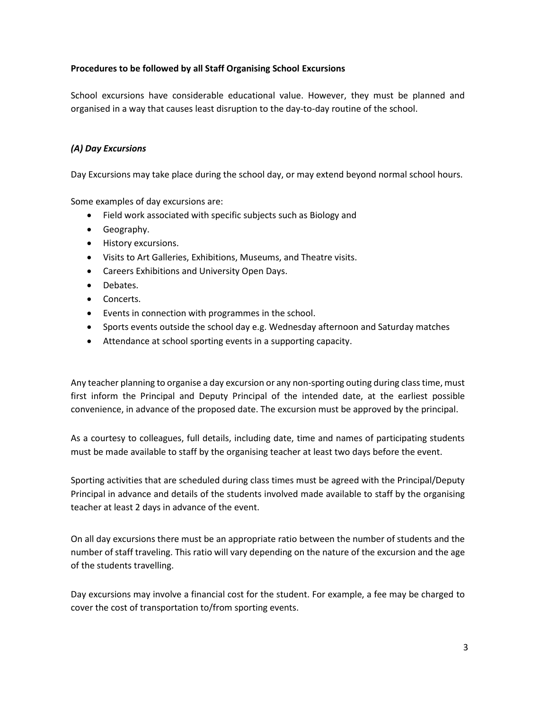#### **Procedures to be followed by all Staff Organising School Excursions**

School excursions have considerable educational value. However, they must be planned and organised in a way that causes least disruption to the day‐to-day routine of the school.

#### *(A) Day Excursions*

Day Excursions may take place during the school day, or may extend beyond normal school hours.

Some examples of day excursions are:

- Field work associated with specific subjects such as Biology and
- Geography.
- History excursions.
- Visits to Art Galleries, Exhibitions, Museums, and Theatre visits.
- Careers Exhibitions and University Open Days.
- Debates.
- Concerts.
- Events in connection with programmes in the school.
- Sports events outside the school day e.g. Wednesday afternoon and Saturday matches
- Attendance at school sporting events in a supporting capacity.

Any teacher planning to organise a day excursion or any non-sporting outing during class time, must first inform the Principal and Deputy Principal of the intended date, at the earliest possible convenience, in advance of the proposed date. The excursion must be approved by the principal.

As a courtesy to colleagues, full details, including date, time and names of participating students must be made available to staff by the organising teacher at least two days before the event.

Sporting activities that are scheduled during class times must be agreed with the Principal/Deputy Principal in advance and details of the students involved made available to staff by the organising teacher at least 2 days in advance of the event.

On all day excursions there must be an appropriate ratio between the number of students and the number of staff traveling. This ratio will vary depending on the nature of the excursion and the age of the students travelling.

Day excursions may involve a financial cost for the student. For example, a fee may be charged to cover the cost of transportation to/from sporting events.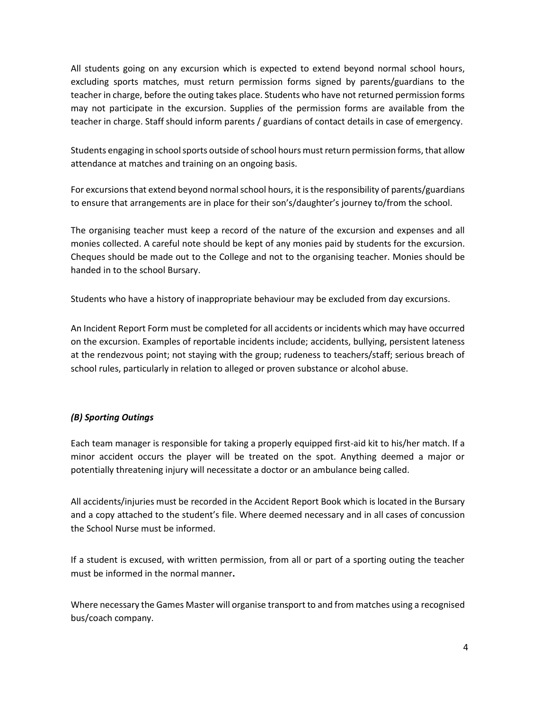All students going on any excursion which is expected to extend beyond normal school hours, excluding sports matches, must return permission forms signed by parents/guardians to the teacher in charge, before the outing takes place. Students who have not returned permission forms may not participate in the excursion. Supplies of the permission forms are available from the teacher in charge. Staff should inform parents / guardians of contact details in case of emergency.

Students engaging in school sports outside of school hours must return permission forms, that allow attendance at matches and training on an ongoing basis.

For excursions that extend beyond normal school hours, it is the responsibility of parents/guardians to ensure that arrangements are in place for their son's/daughter's journey to/from the school.

The organising teacher must keep a record of the nature of the excursion and expenses and all monies collected. A careful note should be kept of any monies paid by students for the excursion. Cheques should be made out to the College and not to the organising teacher. Monies should be handed in to the school Bursary.

Students who have a history of inappropriate behaviour may be excluded from day excursions.

An Incident Report Form must be completed for all accidents or incidents which may have occurred on the excursion. Examples of reportable incidents include; accidents, bullying, persistent lateness at the rendezvous point; not staying with the group; rudeness to teachers/staff; serious breach of school rules, particularly in relation to alleged or proven substance or alcohol abuse.

#### *(B) Sporting Outings*

Each team manager is responsible for taking a properly equipped first-aid kit to his/her match. If a minor accident occurs the player will be treated on the spot. Anything deemed a major or potentially threatening injury will necessitate a doctor or an ambulance being called.

All accidents/injuries must be recorded in the Accident Report Book which is located in the Bursary and a copy attached to the student's file. Where deemed necessary and in all cases of concussion the School Nurse must be informed.

If a student is excused, with written permission, from all or part of a sporting outing the teacher must be informed in the normal manner**.** 

Where necessary the Games Master will organise transport to and from matches using a recognised bus/coach company.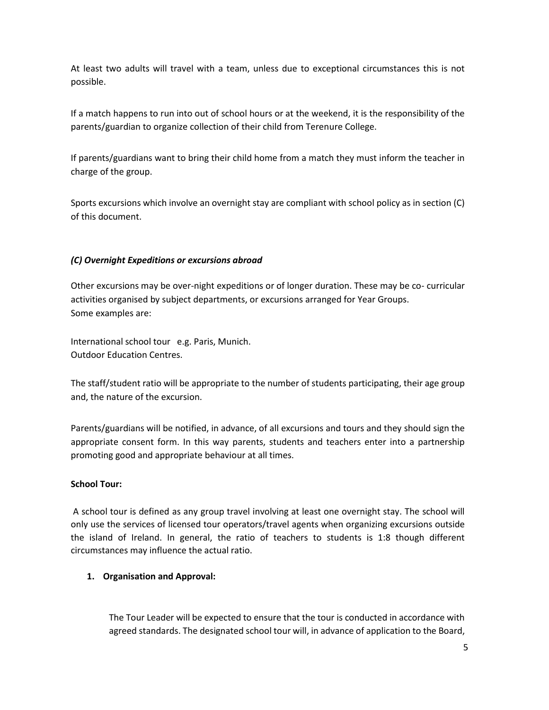At least two adults will travel with a team, unless due to exceptional circumstances this is not possible.

If a match happens to run into out of school hours or at the weekend, it is the responsibility of the parents/guardian to organize collection of their child from Terenure College.

If parents/guardians want to bring their child home from a match they must inform the teacher in charge of the group.

Sports excursions which involve an overnight stay are compliant with school policy as in section (C) of this document.

#### *(C) Overnight Expeditions or excursions abroad*

Other excursions may be over‐night expeditions or of longer duration. These may be co- curricular activities organised by subject departments, or excursions arranged for Year Groups. Some examples are:

International school tour e.g. Paris, Munich. Outdoor Education Centres.

The staff/student ratio will be appropriate to the number of students participating, their age group and, the nature of the excursion.

Parents/guardians will be notified, in advance, of all excursions and tours and they should sign the appropriate consent form. In this way parents, students and teachers enter into a partnership promoting good and appropriate behaviour at all times.

#### **School Tour:**

A school tour is defined as any group travel involving at least one overnight stay. The school will only use the services of licensed tour operators/travel agents when organizing excursions outside the island of Ireland. In general, the ratio of teachers to students is 1:8 though different circumstances may influence the actual ratio.

#### **1. Organisation and Approval:**

The Tour Leader will be expected to ensure that the tour is conducted in accordance with agreed standards. The designated school tour will, in advance of application to the Board,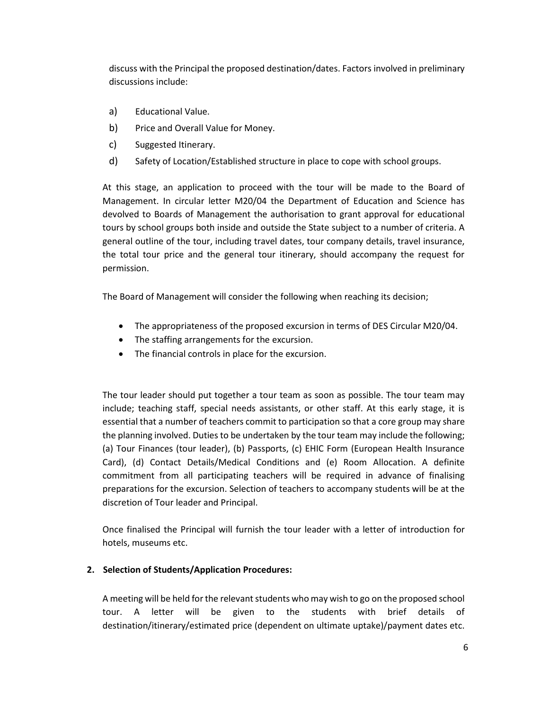discuss with the Principal the proposed destination/dates. Factors involved in preliminary discussions include:

- a) Educational Value.
- b) Price and Overall Value for Money.
- c) Suggested Itinerary.
- d) Safety of Location/Established structure in place to cope with school groups.

At this stage, an application to proceed with the tour will be made to the Board of Management. In circular letter M20/04 the Department of Education and Science has devolved to Boards of Management the authorisation to grant approval for educational tours by school groups both inside and outside the State subject to a number of criteria. A general outline of the tour, including travel dates, tour company details, travel insurance, the total tour price and the general tour itinerary, should accompany the request for permission.

The Board of Management will consider the following when reaching its decision;

- The appropriateness of the proposed excursion in terms of DES Circular M20/04.
- The staffing arrangements for the excursion.
- The financial controls in place for the excursion.

The tour leader should put together a tour team as soon as possible. The tour team may include; teaching staff, special needs assistants, or other staff. At this early stage, it is essential that a number of teachers commit to participation so that a core group may share the planning involved. Duties to be undertaken by the tour team may include the following; (a) Tour Finances (tour leader), (b) Passports, (c) EHIC Form (European Health Insurance Card), (d) Contact Details/Medical Conditions and (e) Room Allocation. A definite commitment from all participating teachers will be required in advance of finalising preparations for the excursion. Selection of teachers to accompany students will be at the discretion of Tour leader and Principal.

Once finalised the Principal will furnish the tour leader with a letter of introduction for hotels, museums etc.

#### **2. Selection of Students/Application Procedures:**

A meeting will be held for the relevant students who may wish to go on the proposed school tour. A letter will be given to the students with brief details of destination/itinerary/estimated price (dependent on ultimate uptake)/payment dates etc.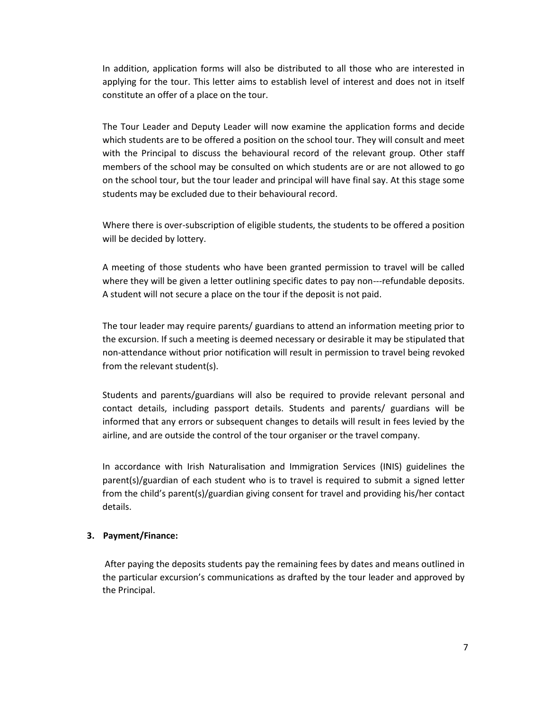In addition, application forms will also be distributed to all those who are interested in applying for the tour. This letter aims to establish level of interest and does not in itself constitute an offer of a place on the tour.

The Tour Leader and Deputy Leader will now examine the application forms and decide which students are to be offered a position on the school tour. They will consult and meet with the Principal to discuss the behavioural record of the relevant group. Other staff members of the school may be consulted on which students are or are not allowed to go on the school tour, but the tour leader and principal will have final say. At this stage some students may be excluded due to their behavioural record.

Where there is over-subscription of eligible students, the students to be offered a position will be decided by lottery.

A meeting of those students who have been granted permission to travel will be called where they will be given a letter outlining specific dates to pay non---refundable deposits. A student will not secure a place on the tour if the deposit is not paid.

The tour leader may require parents/ guardians to attend an information meeting prior to the excursion. If such a meeting is deemed necessary or desirable it may be stipulated that non-attendance without prior notification will result in permission to travel being revoked from the relevant student(s).

Students and parents/guardians will also be required to provide relevant personal and contact details, including passport details. Students and parents/ guardians will be informed that any errors or subsequent changes to details will result in fees levied by the airline, and are outside the control of the tour organiser or the travel company.

In accordance with Irish Naturalisation and Immigration Services (INIS) guidelines the parent(s)/guardian of each student who is to travel is required to submit a signed letter from the child's parent(s)/guardian giving consent for travel and providing his/her contact details.

#### **3. Payment/Finance:**

After paying the deposits students pay the remaining fees by dates and means outlined in the particular excursion's communications as drafted by the tour leader and approved by the Principal.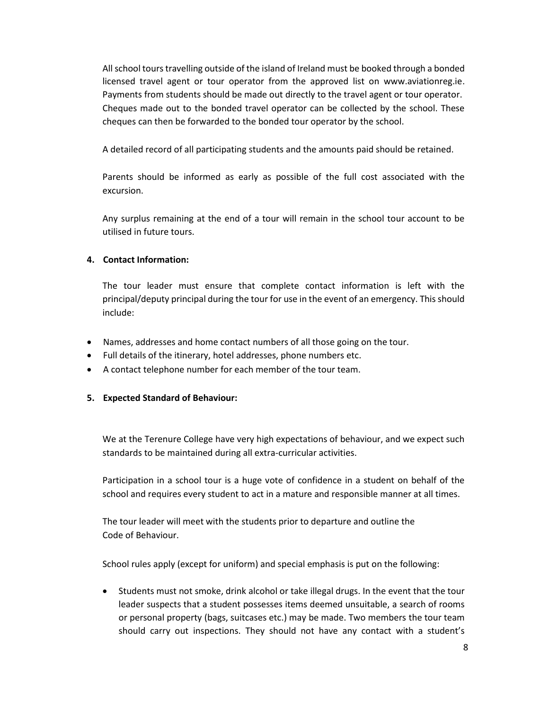All school tours travelling outside of the island of Ireland must be booked through a bonded licensed travel agent or tour operator from the approved list on www.aviationreg.ie. Payments from students should be made out directly to the travel agent or tour operator. Cheques made out to the bonded travel operator can be collected by the school. These cheques can then be forwarded to the bonded tour operator by the school.

A detailed record of all participating students and the amounts paid should be retained.

Parents should be informed as early as possible of the full cost associated with the excursion.

Any surplus remaining at the end of a tour will remain in the school tour account to be utilised in future tours.

#### **4. Contact Information:**

The tour leader must ensure that complete contact information is left with the principal/deputy principal during the tour for use in the event of an emergency. This should include:

- Names, addresses and home contact numbers of all those going on the tour.
- Full details of the itinerary, hotel addresses, phone numbers etc.
- A contact telephone number for each member of the tour team.

#### **5. Expected Standard of Behaviour:**

We at the Terenure College have very high expectations of behaviour, and we expect such standards to be maintained during all extra-curricular activities.

Participation in a school tour is a huge vote of confidence in a student on behalf of the school and requires every student to act in a mature and responsible manner at all times.

The tour leader will meet with the students prior to departure and outline the Code of Behaviour.

School rules apply (except for uniform) and special emphasis is put on the following:

• Students must not smoke, drink alcohol or take illegal drugs. In the event that the tour leader suspects that a student possesses items deemed unsuitable, a search of rooms or personal property (bags, suitcases etc.) may be made. Two members the tour team should carry out inspections. They should not have any contact with a student's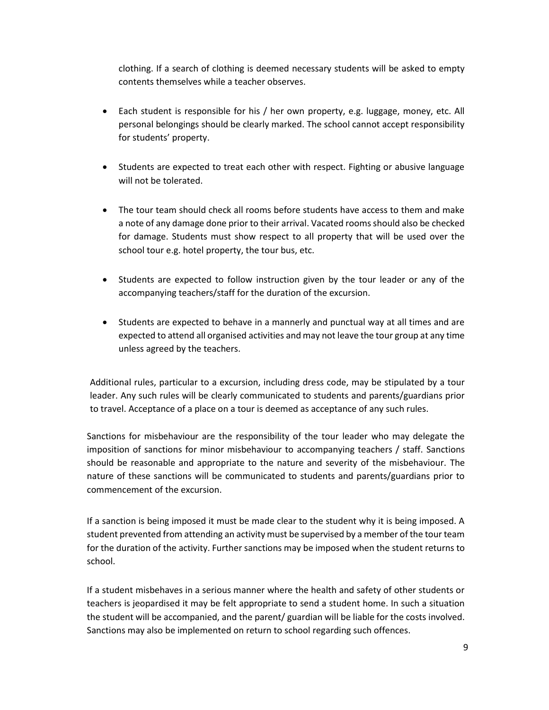clothing. If a search of clothing is deemed necessary students will be asked to empty contents themselves while a teacher observes.

- Each student is responsible for his / her own property, e.g. luggage, money, etc. All personal belongings should be clearly marked. The school cannot accept responsibility for students' property.
- Students are expected to treat each other with respect. Fighting or abusive language will not be tolerated.
- The tour team should check all rooms before students have access to them and make a note of any damage done prior to their arrival. Vacated rooms should also be checked for damage. Students must show respect to all property that will be used over the school tour e.g. hotel property, the tour bus, etc.
- Students are expected to follow instruction given by the tour leader or any of the accompanying teachers/staff for the duration of the excursion.
- Students are expected to behave in a mannerly and punctual way at all times and are expected to attend all organised activities and may not leave the tour group at any time unless agreed by the teachers.

Additional rules, particular to a excursion, including dress code, may be stipulated by a tour leader. Any such rules will be clearly communicated to students and parents/guardians prior to travel. Acceptance of a place on a tour is deemed as acceptance of any such rules.

Sanctions for misbehaviour are the responsibility of the tour leader who may delegate the imposition of sanctions for minor misbehaviour to accompanying teachers / staff. Sanctions should be reasonable and appropriate to the nature and severity of the misbehaviour. The nature of these sanctions will be communicated to students and parents/guardians prior to commencement of the excursion.

If a sanction is being imposed it must be made clear to the student why it is being imposed. A student prevented from attending an activity must be supervised by a member of the tour team for the duration of the activity. Further sanctions may be imposed when the student returns to school.

If a student misbehaves in a serious manner where the health and safety of other students or teachers is jeopardised it may be felt appropriate to send a student home. In such a situation the student will be accompanied, and the parent/ guardian will be liable for the costs involved. Sanctions may also be implemented on return to school regarding such offences.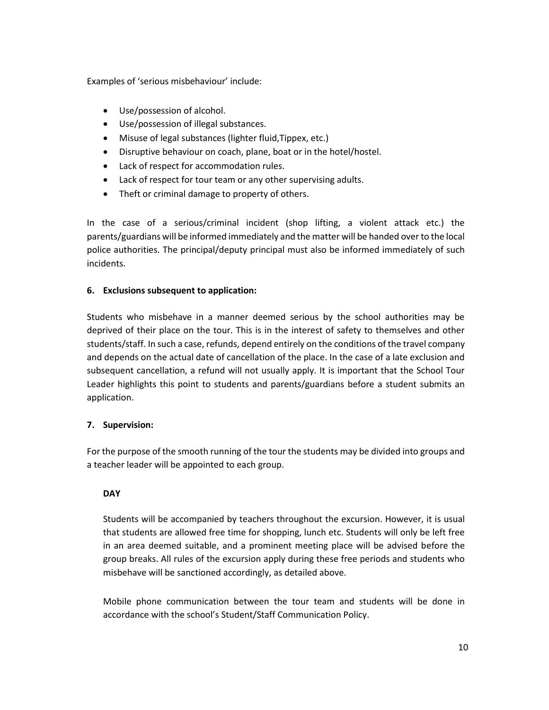Examples of 'serious misbehaviour' include:

- Use/possession of alcohol.
- Use/possession of illegal substances.
- Misuse of legal substances (lighter fluid,Tippex, etc.)
- Disruptive behaviour on coach, plane, boat or in the hotel/hostel.
- Lack of respect for accommodation rules.
- Lack of respect for tour team or any other supervising adults.
- Theft or criminal damage to property of others.

In the case of a serious/criminal incident (shop lifting, a violent attack etc.) the parents/guardians will be informed immediately and the matter will be handed over to the local police authorities. The principal/deputy principal must also be informed immediately of such incidents.

#### **6. Exclusions subsequent to application:**

Students who misbehave in a manner deemed serious by the school authorities may be deprived of their place on the tour. This is in the interest of safety to themselves and other students/staff. In such a case, refunds, depend entirely on the conditions of the travel company and depends on the actual date of cancellation of the place. In the case of a late exclusion and subsequent cancellation, a refund will not usually apply. It is important that the School Tour Leader highlights this point to students and parents/guardians before a student submits an application.

#### **7. Supervision:**

For the purpose of the smooth running of the tour the students may be divided into groups and a teacher leader will be appointed to each group.

#### **DAY**

Students will be accompanied by teachers throughout the excursion. However, it is usual that students are allowed free time for shopping, lunch etc. Students will only be left free in an area deemed suitable, and a prominent meeting place will be advised before the group breaks. All rules of the excursion apply during these free periods and students who misbehave will be sanctioned accordingly, as detailed above.

Mobile phone communication between the tour team and students will be done in accordance with the school's Student/Staff Communication Policy.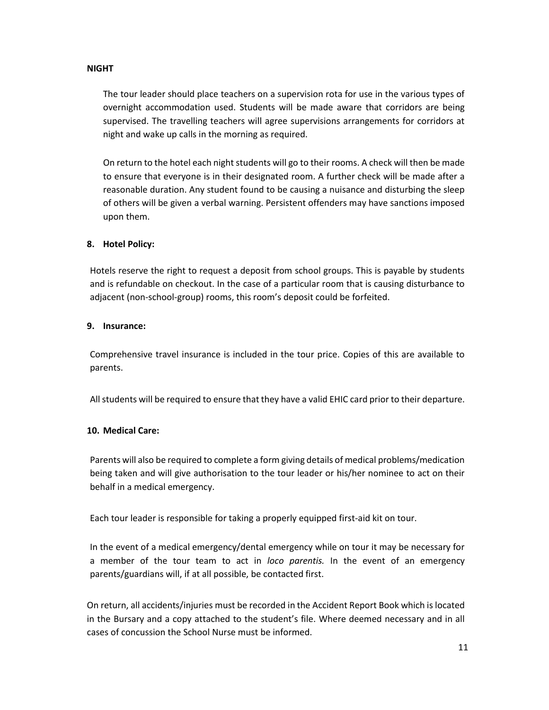#### **NIGHT**

The tour leader should place teachers on a supervision rota for use in the various types of overnight accommodation used. Students will be made aware that corridors are being supervised. The travelling teachers will agree supervisions arrangements for corridors at night and wake up calls in the morning as required.

On return to the hotel each night students will go to their rooms. A check will then be made to ensure that everyone is in their designated room. A further check will be made after a reasonable duration. Any student found to be causing a nuisance and disturbing the sleep of others will be given a verbal warning. Persistent offenders may have sanctions imposed upon them.

#### **8. Hotel Policy:**

Hotels reserve the right to request a deposit from school groups. This is payable by students and is refundable on checkout. In the case of a particular room that is causing disturbance to adjacent (non-school-group) rooms, this room's deposit could be forfeited.

#### **9. Insurance:**

Comprehensive travel insurance is included in the tour price. Copies of this are available to parents.

All students will be required to ensure that they have a valid EHIC card prior to their departure.

#### **10. Medical Care:**

Parents will also be required to complete a form giving details of medical problems/medication being taken and will give authorisation to the tour leader or his/her nominee to act on their behalf in a medical emergency.

Each tour leader is responsible for taking a properly equipped first-aid kit on tour.

In the event of a medical emergency/dental emergency while on tour it may be necessary for a member of the tour team to act in *loco parentis.* In the event of an emergency parents/guardians will, if at all possible, be contacted first.

On return, all accidents/injuries must be recorded in the Accident Report Book which is located in the Bursary and a copy attached to the student's file. Where deemed necessary and in all cases of concussion the School Nurse must be informed.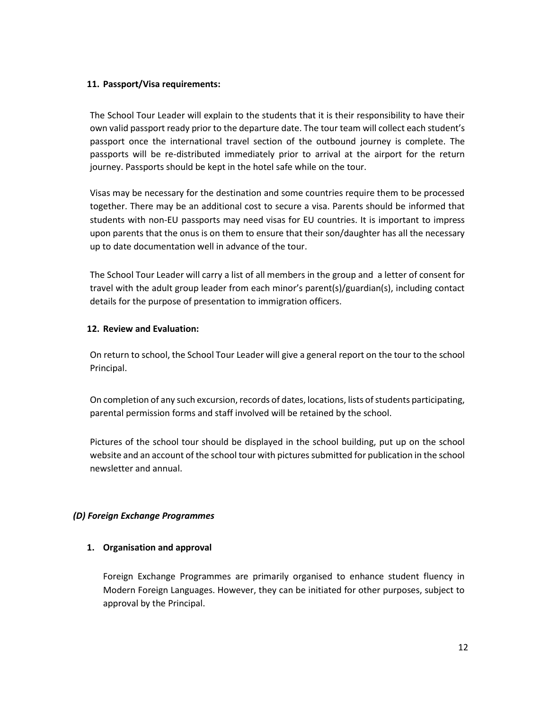#### **11. Passport/Visa requirements:**

The School Tour Leader will explain to the students that it is their responsibility to have their own valid passport ready prior to the departure date. The tour team will collect each student's passport once the international travel section of the outbound journey is complete. The passports will be re-distributed immediately prior to arrival at the airport for the return journey. Passports should be kept in the hotel safe while on the tour.

Visas may be necessary for the destination and some countries require them to be processed together. There may be an additional cost to secure a visa. Parents should be informed that students with non-EU passports may need visas for EU countries. It is important to impress upon parents that the onus is on them to ensure that their son/daughter has all the necessary up to date documentation well in advance of the tour.

The School Tour Leader will carry a list of all members in the group and a letter of consent for travel with the adult group leader from each minor's parent(s)/guardian(s), including contact details for the purpose of presentation to immigration officers.

#### **12. Review and Evaluation:**

On return to school, the School Tour Leader will give a general report on the tour to the school Principal.

On completion of any such excursion, records of dates, locations, lists of students participating, parental permission forms and staff involved will be retained by the school.

Pictures of the school tour should be displayed in the school building, put up on the school website and an account of the school tour with pictures submitted for publication in the school newsletter and annual.

#### *(D) Foreign Exchange Programmes*

#### **1. Organisation and approval**

Foreign Exchange Programmes are primarily organised to enhance student fluency in Modern Foreign Languages. However, they can be initiated for other purposes, subject to approval by the Principal.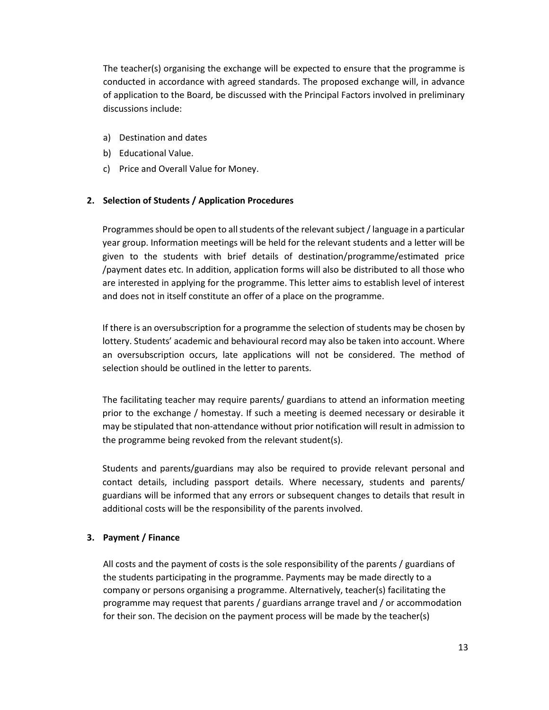The teacher(s) organising the exchange will be expected to ensure that the programme is conducted in accordance with agreed standards. The proposed exchange will, in advance of application to the Board, be discussed with the Principal Factors involved in preliminary discussions include:

- a) Destination and dates
- b) Educational Value.
- c) Price and Overall Value for Money.

#### **2. Selection of Students / Application Procedures**

Programmes should be open to all students of the relevant subject / language in a particular year group. Information meetings will be held for the relevant students and a letter will be given to the students with brief details of destination/programme/estimated price /payment dates etc. In addition, application forms will also be distributed to all those who are interested in applying for the programme. This letter aims to establish level of interest and does not in itself constitute an offer of a place on the programme.

If there is an oversubscription for a programme the selection of students may be chosen by lottery. Students' academic and behavioural record may also be taken into account. Where an oversubscription occurs, late applications will not be considered. The method of selection should be outlined in the letter to parents.

The facilitating teacher may require parents/ guardians to attend an information meeting prior to the exchange / homestay. If such a meeting is deemed necessary or desirable it may be stipulated that non-attendance without prior notification will result in admission to the programme being revoked from the relevant student(s).

Students and parents/guardians may also be required to provide relevant personal and contact details, including passport details. Where necessary, students and parents/ guardians will be informed that any errors or subsequent changes to details that result in additional costs will be the responsibility of the parents involved.

#### **3. Payment / Finance**

All costs and the payment of costs is the sole responsibility of the parents / guardians of the students participating in the programme. Payments may be made directly to a company or persons organising a programme. Alternatively, teacher(s) facilitating the programme may request that parents / guardians arrange travel and / or accommodation for their son. The decision on the payment process will be made by the teacher(s)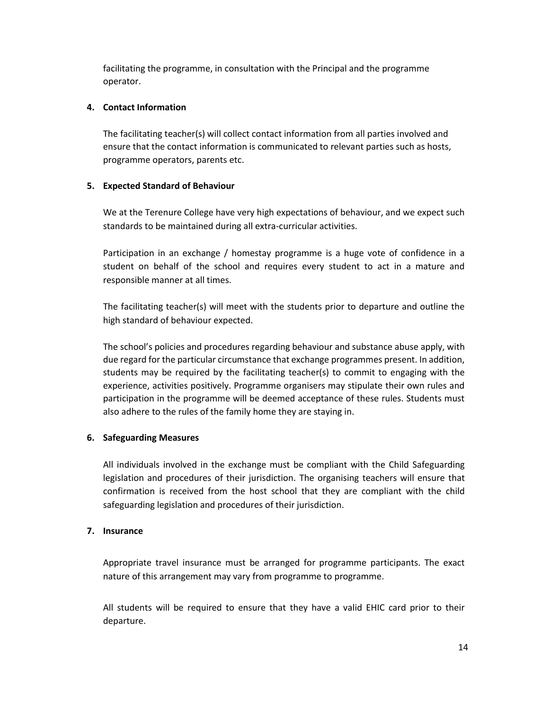facilitating the programme, in consultation with the Principal and the programme operator.

#### **4. Contact Information**

The facilitating teacher(s) will collect contact information from all parties involved and ensure that the contact information is communicated to relevant parties such as hosts, programme operators, parents etc.

#### **5. Expected Standard of Behaviour**

We at the Terenure College have very high expectations of behaviour, and we expect such standards to be maintained during all extra-curricular activities.

Participation in an exchange / homestay programme is a huge vote of confidence in a student on behalf of the school and requires every student to act in a mature and responsible manner at all times.

The facilitating teacher(s) will meet with the students prior to departure and outline the high standard of behaviour expected.

The school's policies and procedures regarding behaviour and substance abuse apply, with due regard for the particular circumstance that exchange programmes present. In addition, students may be required by the facilitating teacher(s) to commit to engaging with the experience, activities positively. Programme organisers may stipulate their own rules and participation in the programme will be deemed acceptance of these rules. Students must also adhere to the rules of the family home they are staying in.

#### **6. Safeguarding Measures**

All individuals involved in the exchange must be compliant with the Child Safeguarding legislation and procedures of their jurisdiction. The organising teachers will ensure that confirmation is received from the host school that they are compliant with the child safeguarding legislation and procedures of their jurisdiction.

#### **7. Insurance**

Appropriate travel insurance must be arranged for programme participants. The exact nature of this arrangement may vary from programme to programme.

All students will be required to ensure that they have a valid EHIC card prior to their departure.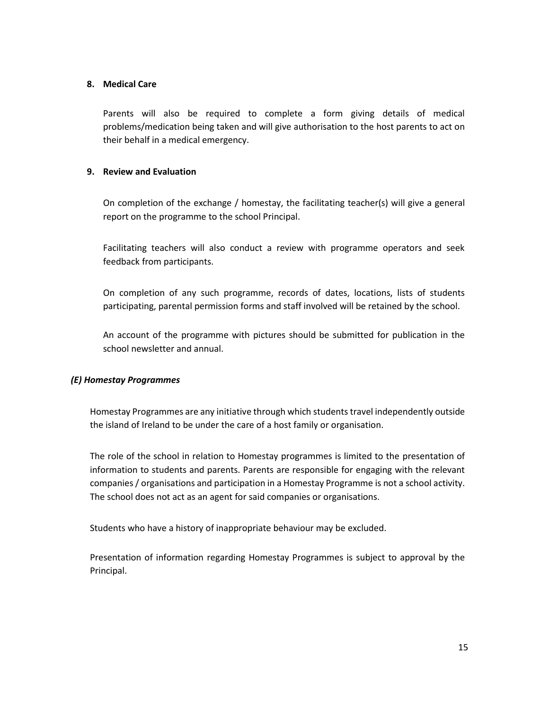#### **8. Medical Care**

Parents will also be required to complete a form giving details of medical problems/medication being taken and will give authorisation to the host parents to act on their behalf in a medical emergency.

#### **9. Review and Evaluation**

On completion of the exchange / homestay, the facilitating teacher(s) will give a general report on the programme to the school Principal.

Facilitating teachers will also conduct a review with programme operators and seek feedback from participants.

On completion of any such programme, records of dates, locations, lists of students participating, parental permission forms and staff involved will be retained by the school.

An account of the programme with pictures should be submitted for publication in the school newsletter and annual.

#### *(E) Homestay Programmes*

Homestay Programmes are any initiative through which students travel independently outside the island of Ireland to be under the care of a host family or organisation.

The role of the school in relation to Homestay programmes is limited to the presentation of information to students and parents. Parents are responsible for engaging with the relevant companies / organisations and participation in a Homestay Programme is not a school activity. The school does not act as an agent for said companies or organisations.

Students who have a history of inappropriate behaviour may be excluded.

Presentation of information regarding Homestay Programmes is subject to approval by the Principal.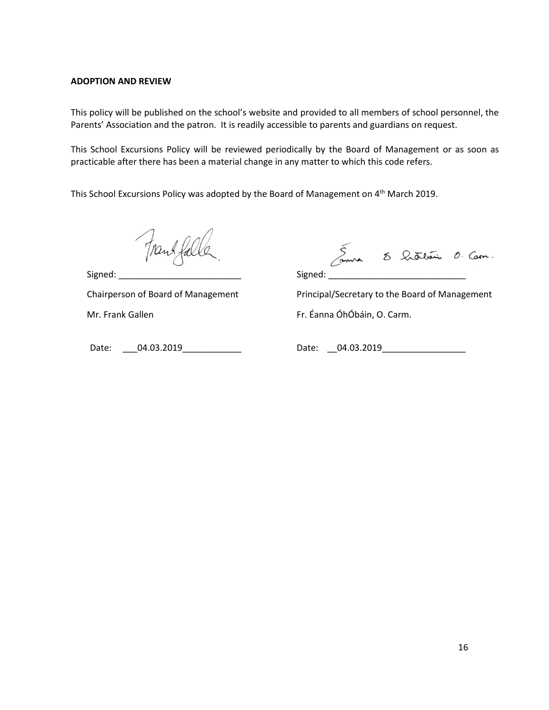#### **ADOPTION AND REVIEW**

This policy will be published on the school's website and provided to all members of school personnel, the Parents' Association and the patron. It is readily accessible to parents and guardians on request.

This School Excursions Policy will be reviewed periodically by the Board of Management or as soon as practicable after there has been a material change in any matter to which this code refers.

This School Excursions Policy was adopted by the Board of Management on  $4<sup>th</sup>$  March 2019.

frankfalls

 $Sipned: \underline{\hspace{1cm}} \qquad \qquad \text{Sipned:} \underline{\hspace{1cm}} \qquad \qquad \text{Sipned:} \underline{\hspace{1cm}} \qquad \qquad \text{Sipned:} \underline{\hspace{1cm}} \qquad \qquad \text{Sipned:} \underline{\hspace{1cm}} \qquad \qquad \text{Sipned:} \underline{\hspace{1cm}} \qquad \qquad \text{Sipned:} \underline{\hspace{1cm}} \qquad \qquad \text{Sipned:} \underline{\hspace{1cm}} \qquad \qquad \text{Sipned:} \underline{\hspace{1cm}} \qquad \qquad \text{Sipned:} \underline{\hspace{1cm}}$ 

Chairperson of Board of Management Principal/Secretary to the Board of Management

Mr. Frank Gallen Fr. Éanna ÓhÓbáin, O. Carm.

Date: \_\_\_04.03.2019\_\_\_\_\_\_\_\_\_\_\_\_ Date: \_\_04.03.2019\_\_\_\_\_\_\_\_\_\_\_\_\_\_\_\_\_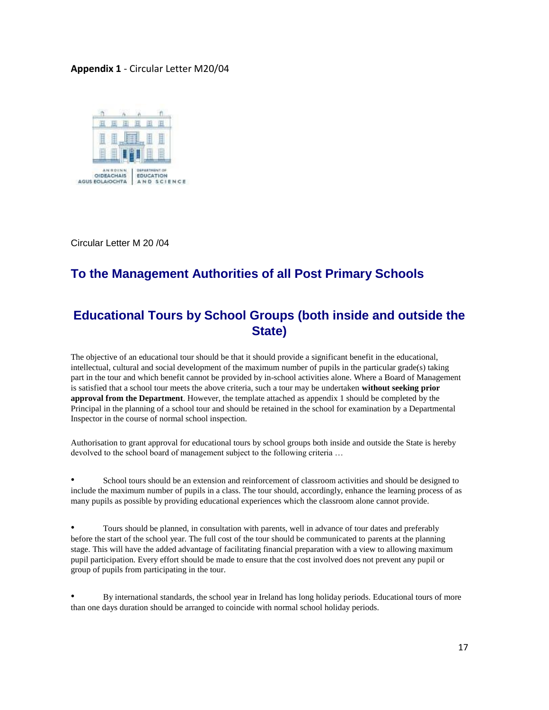#### **Appendix 1** - Circular Letter M20/04



Circular Letter M 20 /04

## **To the Management Authorities of all Post Primary Schools**

## **Educational Tours by School Groups (both inside and outside the State)**

The objective of an educational tour should be that it should provide a significant benefit in the educational, intellectual, cultural and social development of the maximum number of pupils in the particular grade(s) taking part in the tour and which benefit cannot be provided by in-school activities alone. Where a Board of Management is satisfied that a school tour meets the above criteria, such a tour may be undertaken **without seeking prior approval from the Department**. However, the template attached as appendix 1 should be completed by the Principal in the planning of a school tour and should be retained in the school for examination by a Departmental Inspector in the course of normal school inspection.

Authorisation to grant approval for educational tours by school groups both inside and outside the State is hereby devolved to the school board of management subject to the following criteria …

• School tours should be an extension and reinforcement of classroom activities and should be designed to include the maximum number of pupils in a class. The tour should, accordingly, enhance the learning process of as many pupils as possible by providing educational experiences which the classroom alone cannot provide.

• Tours should be planned, in consultation with parents, well in advance of tour dates and preferably before the start of the school year. The full cost of the tour should be communicated to parents at the planning stage. This will have the added advantage of facilitating financial preparation with a view to allowing maximum pupil participation. Every effort should be made to ensure that the cost involved does not prevent any pupil or group of pupils from participating in the tour.

• By international standards, the school year in Ireland has long holiday periods. Educational tours of more than one days duration should be arranged to coincide with normal school holiday periods.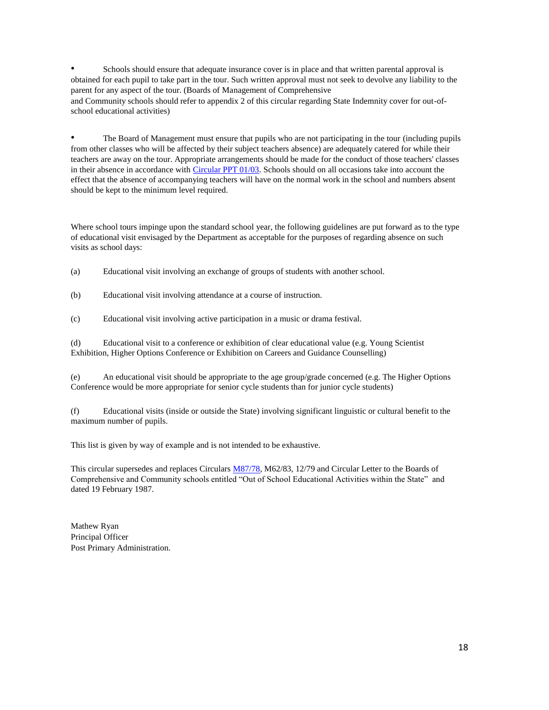Schools should ensure that adequate insurance cover is in place and that written parental approval is obtained for each pupil to take part in the tour. Such written approval must not seek to devolve any liability to the parent for any aspect of the tour. (Boards of Management of Comprehensive and Community schools should refer to appendix 2 of this circular regarding State Indemnity cover for out-ofschool educational activities)

• The Board of Management must ensure that pupils who are not participating in the tour (including pupils from other classes who will be affected by their subject teachers absence) are adequately catered for while their teachers are away on the tour. Appropriate arrangements should be made for the conduct of those teachers' classes in their absence in accordance with Circular PPT 01/03. Schools should on all occasions take into account the effect that the absence of accompanying teachers will have on the normal work in the school and numbers absent should be kept to the minimum level required.

Where school tours impinge upon the standard school year, the following guidelines are put forward as to the type of educational visit envisaged by the Department as acceptable for the purposes of regarding absence on such visits as school days:

(a) Educational visit involving an exchange of groups of students with another school.

(b) Educational visit involving attendance at a course of instruction.

(c) Educational visit involving active participation in a music or drama festival.

(d) Educational visit to a conference or exhibition of clear educational value (e.g. Young Scientist Exhibition, Higher Options Conference or Exhibition on Careers and Guidance Counselling)

(e) An educational visit should be appropriate to the age group/grade concerned (e.g. The Higher Options Conference would be more appropriate for senior cycle students than for junior cycle students)

(f) Educational visits (inside or outside the State) involving significant linguistic or cultural benefit to the maximum number of pupils.

This list is given by way of example and is not intended to be exhaustive.

This circular supersedes and replaces Circulars M87/78, M62/83, 12/79 and Circular Letter to the Boards of Comprehensive and Community schools entitled "Out of School Educational Activities within the State" and dated 19 February 1987.

Mathew Ryan Principal Officer Post Primary Administration.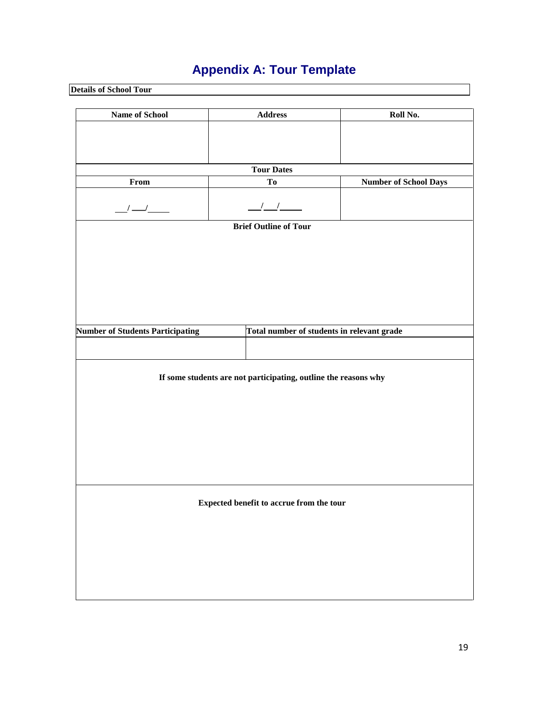# **Appendix A: Tour Template**

| <b>Details of School Tour</b>                                                         |                              |                              |  |  |  |
|---------------------------------------------------------------------------------------|------------------------------|------------------------------|--|--|--|
|                                                                                       |                              |                              |  |  |  |
| <b>Name of School</b>                                                                 | <b>Address</b>               | Roll No.                     |  |  |  |
|                                                                                       |                              |                              |  |  |  |
|                                                                                       |                              |                              |  |  |  |
|                                                                                       |                              |                              |  |  |  |
|                                                                                       | <b>Tour Dates</b>            |                              |  |  |  |
| From                                                                                  | To                           | <b>Number of School Days</b> |  |  |  |
|                                                                                       |                              |                              |  |  |  |
|                                                                                       | $\frac{1}{2}$                |                              |  |  |  |
| $\frac{1}{2}$                                                                         |                              |                              |  |  |  |
|                                                                                       | <b>Brief Outline of Tour</b> |                              |  |  |  |
|                                                                                       |                              |                              |  |  |  |
|                                                                                       |                              |                              |  |  |  |
|                                                                                       |                              |                              |  |  |  |
|                                                                                       |                              |                              |  |  |  |
|                                                                                       |                              |                              |  |  |  |
|                                                                                       |                              |                              |  |  |  |
|                                                                                       |                              |                              |  |  |  |
|                                                                                       |                              |                              |  |  |  |
| Total number of students in relevant grade<br><b>Number of Students Participating</b> |                              |                              |  |  |  |
|                                                                                       |                              |                              |  |  |  |
|                                                                                       |                              |                              |  |  |  |
|                                                                                       |                              |                              |  |  |  |
| If some students are not participating, outline the reasons why                       |                              |                              |  |  |  |
|                                                                                       |                              |                              |  |  |  |
|                                                                                       |                              |                              |  |  |  |
|                                                                                       |                              |                              |  |  |  |
|                                                                                       |                              |                              |  |  |  |
|                                                                                       |                              |                              |  |  |  |
|                                                                                       |                              |                              |  |  |  |
|                                                                                       |                              |                              |  |  |  |
|                                                                                       |                              |                              |  |  |  |
|                                                                                       |                              |                              |  |  |  |
|                                                                                       |                              |                              |  |  |  |
| Expected benefit to accrue from the tour                                              |                              |                              |  |  |  |
|                                                                                       |                              |                              |  |  |  |
|                                                                                       |                              |                              |  |  |  |
|                                                                                       |                              |                              |  |  |  |
|                                                                                       |                              |                              |  |  |  |
|                                                                                       |                              |                              |  |  |  |
|                                                                                       |                              |                              |  |  |  |
|                                                                                       |                              |                              |  |  |  |
|                                                                                       |                              |                              |  |  |  |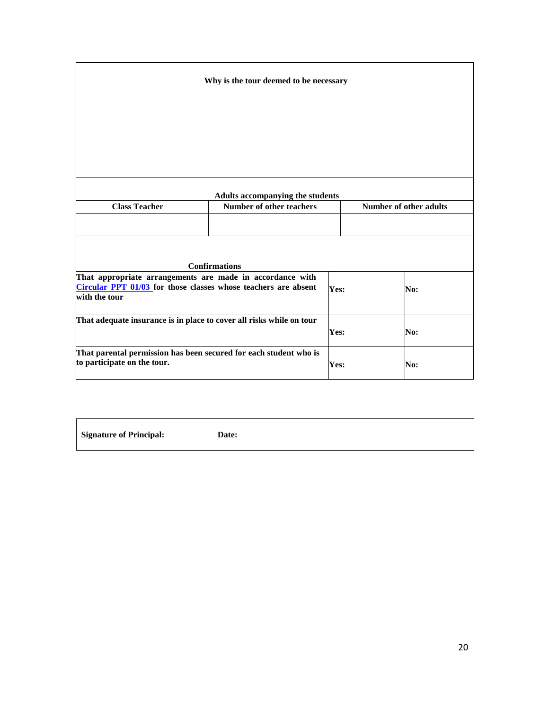| Why is the tour deemed to be necessary                                                                                                       |                                 |      |  |                               |  |  |
|----------------------------------------------------------------------------------------------------------------------------------------------|---------------------------------|------|--|-------------------------------|--|--|
|                                                                                                                                              |                                 |      |  |                               |  |  |
|                                                                                                                                              |                                 |      |  |                               |  |  |
|                                                                                                                                              |                                 |      |  |                               |  |  |
| Adults accompanying the students                                                                                                             |                                 |      |  |                               |  |  |
| <b>Class Teacher</b>                                                                                                                         | <b>Number of other teachers</b> |      |  | <b>Number of other adults</b> |  |  |
|                                                                                                                                              |                                 |      |  |                               |  |  |
|                                                                                                                                              |                                 |      |  |                               |  |  |
| <b>Confirmations</b>                                                                                                                         |                                 |      |  |                               |  |  |
| That appropriate arrangements are made in accordance with<br>Circular PPT 01/03 for those classes whose teachers are absent<br>with the tour |                                 | Yes: |  | No:                           |  |  |
| That adequate insurance is in place to cover all risks while on tour                                                                         |                                 | Yes: |  | No:                           |  |  |
| That parental permission has been secured for each student who is<br>to participate on the tour.                                             |                                 | Yes: |  | No:                           |  |  |

**Signature of Principal: Date:**